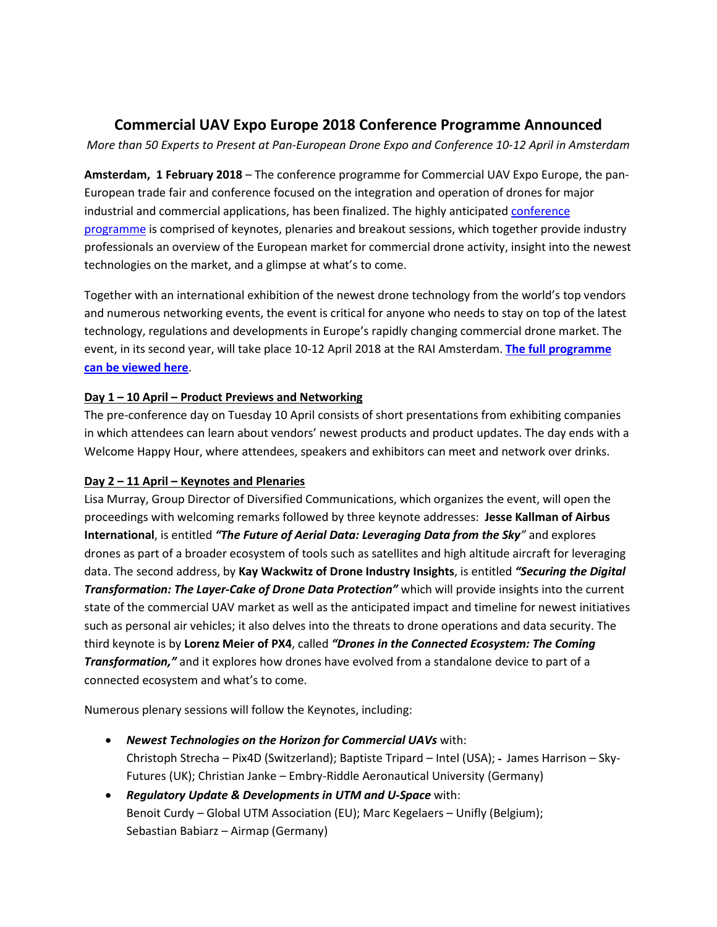# **Commercial UAV Expo Europe 2018 Conference Programme Announced**

*More than 50 Experts to Present at Pan-European Drone Expo and Conference 10-12 April in Amsterdam*

**Amsterdam, 1 February 2018** – The conference programme for Commercial UAV Expo Europe, the pan-European trade fair and conference focused on the integration and operation of drones for major industrial and commercial applications, has been finalized. The highly anticipated conference [programme](https://www.expouav.com/europe/conference-program/) is comprised of keynotes, plenaries and breakout sessions, which together provide industry professionals an overview of the European market for commercial drone activity, insight into the newest technologies on the market, and a glimpse at what's to come.

Together with an international exhibition of the newest drone technology from the world's top vendors and numerous networking events, the event is critical for anyone who needs to stay on top of the latest technology, regulations and developments in Europe's rapidly changing commercial drone market. The event, in its second year, will take place 10-12 April 2018 at the RAI Amsterdam. **[The full programme](https://www.expouav.com/europe/conference-program/)  [can be viewed here](https://www.expouav.com/europe/conference-program/)**.

# **Day 1 – 10 April – Product Previews and Networking**

The pre-conference day on Tuesday 10 April consists of short presentations from exhibiting companies in which attendees can learn about vendors' newest products and product updates. The day ends with a Welcome Happy Hour, where attendees, speakers and exhibitors can meet and network over drinks.

# **Day 2 – 11 April – Keynotes and Plenaries**

Lisa Murray, Group Director of Diversified Communications, which organizes the event, will open the proceedings with welcoming remarks followed by three keynote addresses: **Jesse Kallman of Airbus International**, is entitled *"The Future of Aerial Data: Leveraging Data from the Sky"* and explores drones as part of a broader ecosystem of tools such as satellites and high altitude aircraft for leveraging data. The second address, by **Kay Wackwitz of Drone Industry Insights**, is entitled *"Securing the Digital Transformation: The Layer-Cake of Drone Data Protection"* which will provide insights into the current state of the commercial UAV market as well as the anticipated impact and timeline for newest initiatives such as personal air vehicles; it also delves into the threats to drone operations and data security. The third keynote is by **Lorenz Meier of PX4**, called *"Drones in the Connected Ecosystem: The Coming Transformation,"* and it explores how drones have evolved from a standalone device to part of a connected ecosystem and what's to come.

Numerous plenary sessions will follow the Keynotes, including:

- *Newest Technologies on the Horizon for Commercial UAVs* with: Christoph Strecha – Pix4D (Switzerland); Baptiste Tripard – Intel (USA); - James Harrison – Sky-Futures (UK); Christian Janke – Embry-Riddle Aeronautical University (Germany)
- *Regulatory Update & Developments in UTM and U-Space* with: Benoit Curdy – Global UTM Association (EU); Marc Kegelaers – Unifly (Belgium); Sebastian Babiarz – Airmap (Germany)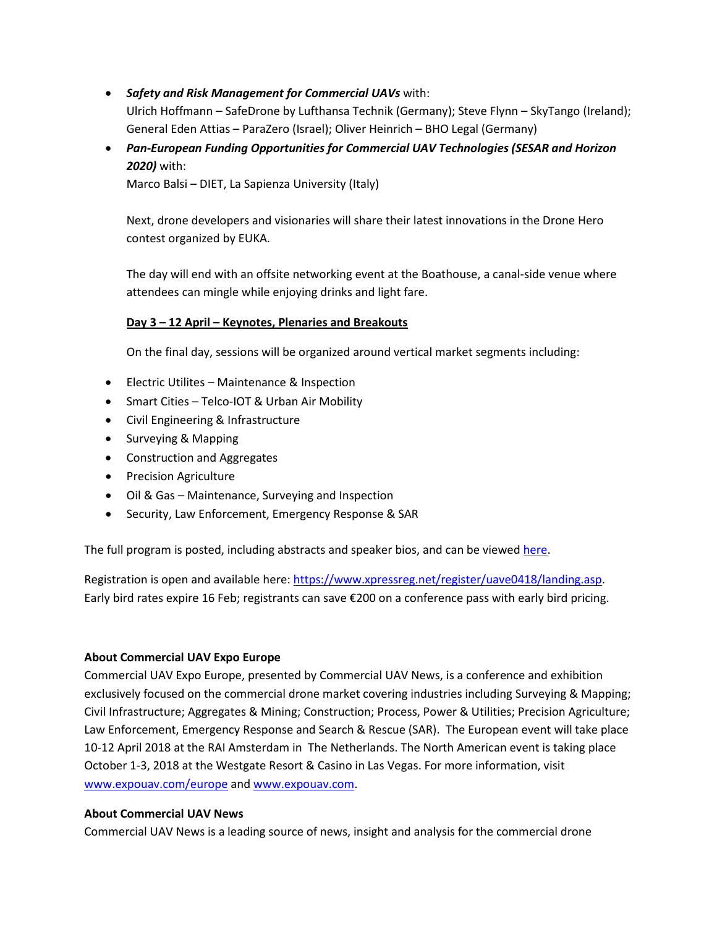- *Safety and Risk Management for Commercial UAVs* with: Ulrich Hoffmann – SafeDrone by Lufthansa Technik (Germany); Steve Flynn – SkyTango (Ireland); General Eden Attias – ParaZero (Israel); Oliver Heinrich – BHO Legal (Germany)
- *Pan-European Funding Opportunities for Commercial UAV Technologies (SESAR and Horizon 2020)* with:

Marco Balsi – DIET, La Sapienza University (Italy)

Next, drone developers and visionaries will share their latest innovations in the Drone Hero contest organized by EUKA.

The day will end with an offsite networking event at the Boathouse, a canal-side venue where attendees can mingle while enjoying drinks and light fare.

# **Day 3 – 12 April – Keynotes, Plenaries and Breakouts**

On the final day, sessions will be organized around vertical market segments including:

- Electric Utilites Maintenance & Inspection
- Smart Cities Telco-IOT & Urban Air Mobility
- Civil Engineering & Infrastructure
- Surveying & Mapping
- Construction and Aggregates
- Precision Agriculture
- Oil & Gas Maintenance, Surveying and Inspection
- Security, Law Enforcement, Emergency Response & SAR

The full program is posted, including abstracts and speaker bios, and can be viewed [here.](https://www.expouav.com/europe/conference-program/)

Registration is open and available here[: https://www.xpressreg.net/register/uave0418/landing.asp.](https://www.xpressreg.net/register/uave0418/landing.asp) Early bird rates expire 16 Feb; registrants can save €200 on a conference pass with early bird pricing.

### **About Commercial UAV Expo Europe**

Commercial UAV Expo Europe, presented by Commercial UAV News, is a conference and exhibition exclusively focused on the commercial drone market covering industries including Surveying & Mapping; Civil Infrastructure; Aggregates & Mining; Construction; Process, Power & Utilities; Precision Agriculture; Law Enforcement, Emergency Response and Search & Rescue (SAR). The European event will take place 10-12 April 2018 at the RAI Amsterdam in The Netherlands. The North American event is taking place October 1-3, 2018 at the Westgate Resort & Casino in Las Vegas. For more information, visit [www.expouav.com/europe](http://www.expouav.com/europe) and [www.expouav.com.](http://www.expouav.com/)

### **About Commercial UAV News**

Commercial UAV News is a leading source of news, insight and analysis for the commercial drone